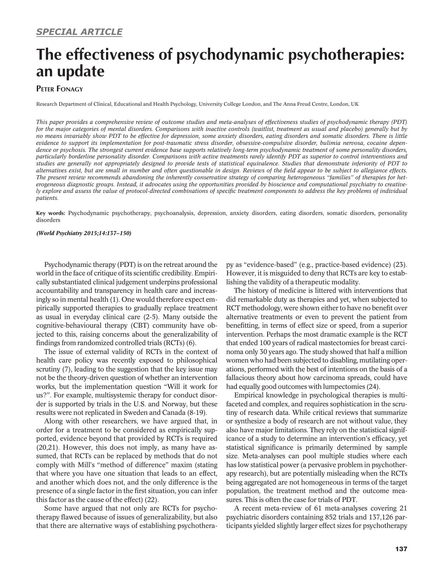# The effectiveness of psychodynamic psychotherapies: an update

# PETER FONAGY

Research Department of Clinical, Educational and Health Psychology, University College London, and The Anna Freud Centre, London, UK

This paper provides a comprehensive review of outcome studies and meta-analyses of effectiveness studies of psychodynamic therapy (PDT) for the major categories of mental disorders. Comparisons with inactive controls (waitlist, treatment as usual and placebo) generally but by no means invariably show PDT to be effective for depression, some anxiety disorders, eating disorders and somatic disorders. There is little evidence to support its implementation for post-traumatic stress disorder, obsessive-compulsive disorder, bulimia nervosa, cocaine dependence or psychosis. The strongest current evidence base supports relatively long-term psychodynamic treatment of some personality disorders, particularly borderline personality disorder. Comparisons with active treatments rarely identify PDT as superior to control interventions and studies are generally not appropriately designed to provide tests of statistical equivalence. Studies that demonstrate inferiority of PDT to alternatives exist, but are small in number and often questionable in design. Reviews of the field appear to be subject to allegiance effects. The present review recommends abandoning the inherently conservative strategy of comparing heterogeneous "families" of therapies for heterogeneous diagnostic groups. Instead, it advocates using the opportunities provided by bioscience and computational psychiatry to creatively explore and assess the value of protocol-directed combinations of specific treatment components to address the key problems of individual patients.

Key words: Psychodynamic psychotherapy, psychoanalysis, depression, anxiety disorders, eating disorders, somatic disorders, personality disorders

(World Psychiatry 2015;14:137–150)

Psychodynamic therapy (PDT) is on the retreat around the world in the face of critique of its scientific credibility. Empirically substantiated clinical judgement underpins professional accountability and transparency in health care and increasingly so in mental health (1). One would therefore expect empirically supported therapies to gradually replace treatment as usual in everyday clinical care (2-5). Many outside the cognitive-behavioural therapy (CBT) community have objected to this, raising concerns about the generalizability of findings from randomized controlled trials (RCTs) (6).

The issue of external validity of RCTs in the context of health care policy was recently exposed to philosophical scrutiny (7), leading to the suggestion that the key issue may not be the theory-driven question of whether an intervention works, but the implementation question "Will it work for us?". For example, multisystemic therapy for conduct disorder is supported by trials in the U.S. and Norway, but these results were not replicated in Sweden and Canada (8-19).

Along with other researchers, we have argued that, in order for a treatment to be considered as empirically supported, evidence beyond that provided by RCTs is required (20,21). However, this does not imply, as many have assumed, that RCTs can be replaced by methods that do not comply with Mill's "method of difference" maxim (stating that where you have one situation that leads to an effect, and another which does not, and the only difference is the presence of a single factor in the first situation, you can infer this factor as the cause of the effect) (22).

Some have argued that not only are RCTs for psychotherapy flawed because of issues of generalizability, but also that there are alternative ways of establishing psychothera-

py as "evidence-based" (e.g., practice-based evidence) (23). However, it is misguided to deny that RCTs are key to establishing the validity of a therapeutic modality.

The history of medicine is littered with interventions that did remarkable duty as therapies and yet, when subjected to RCT methodology, were shown either to have no benefit over alternative treatments or even to prevent the patient from benefitting, in terms of effect size or speed, from a superior intervention. Perhaps the most dramatic example is the RCT that ended 100 years of radical mastectomies for breast carcinoma only 30 years ago. The study showed that half a million women who had been subjected to disabling, mutilating operations, performed with the best of intentions on the basis of a fallacious theory about how carcinoma spreads, could have had equally good outcomes with lumpectomies (24).

Empirical knowledge in psychological therapies is multifaceted and complex, and requires sophistication in the scrutiny of research data. While critical reviews that summarize or synthesize a body of research are not without value, they also have major limitations. They rely on the statistical significance of a study to determine an intervention's efficacy, yet statistical significance is primarily determined by sample size. Meta-analyses can pool multiple studies where each has low statistical power (a pervasive problem in psychotherapy research), but are potentially misleading when the RCTs being aggregated are not homogeneous in terms of the target population, the treatment method and the outcome measures. This is often the case for trials of PDT.

A recent meta-review of 61 meta-analyses covering 21 psychiatric disorders containing 852 trials and 137,126 participants yielded slightly larger effect sizes for psychotherapy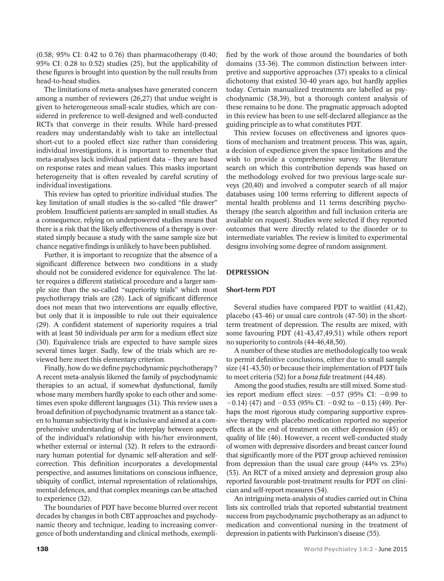(0.58; 95% CI: 0.42 to 0.76) than pharmacotherapy (0.40; 95% CI: 0.28 to 0.52) studies (25), but the applicability of these figures is brought into question by the null results from head-to-head studies.

The limitations of meta-analyses have generated concern among a number of reviewers (26,27) that undue weight is given to heterogeneous small-scale studies, which are considered in preference to well-designed and well-conducted RCTs that converge in their results. While hard-pressed readers may understandably wish to take an intellectual short-cut to a pooled effect size rather than considering individual investigations, it is important to remember that meta-analyses lack individual patient data – they are based on response rates and mean values. This masks important heterogeneity that is often revealed by careful scrutiny of individual investigations.

This review has opted to prioritize individual studies. The key limitation of small studies is the so-called "file drawer" problem. Insufficient patients are sampled in small studies. As a consequence, relying on underpowered studies means that there is a risk that the likely effectiveness of a therapy is overstated simply because a study with the same sample size but chance negative findings is unlikely to have been published.

Further, it is important to recognize that the absence of a significant difference between two conditions in a study should not be considered evidence for equivalence. The latter requires a different statistical procedure and a larger sample size than the so-called "superiority trials" which most psychotherapy trials are (28). Lack of significant difference does not mean that two interventions are equally effective, but only that it is impossible to rule out their equivalence (29). A confident statement of superiority requires a trial with at least 50 individuals per arm for a medium effect size (30). Equivalence trials are expected to have sample sizes several times larger. Sadly, few of the trials which are reviewed here meet this elementary criterion.

Finally, how do we define psychodynamic psychotherapy? A recent meta-analysis likened the family of psychodynamic therapies to an actual, if somewhat dysfunctional, family whose many members hardly spoke to each other and sometimes even spoke different languages (31). This review uses a broad definition of psychodynamic treatment as a stance taken to human subjectivity that is inclusive and aimed at a comprehensive understanding of the interplay between aspects of the individual's relationship with his/her environment, whether external or internal (32). It refers to the extraordinary human potential for dynamic self-alteration and selfcorrection. This definition incorporates a developmental perspective, and assumes limitations on conscious influence, ubiquity of conflict, internal representation of relationships, mental defences, and that complex meanings can be attached to experience (32).

The boundaries of PDT have become blurred over recent decades by changes in both CBT approaches and psychodynamic theory and technique, leading to increasing convergence of both understanding and clinical methods, exemplified by the work of those around the boundaries of both domains (33-36). The common distinction between interpretive and supportive approaches (37) speaks to a clinical dichotomy that existed 30-40 years ago, but hardly applies today. Certain manualized treatments are labelled as psychodynamic (38,39), but a thorough content analysis of these remains to be done. The pragmatic approach adopted in this review has been to use self-declared allegiance as the guiding principle as to what constitutes PDT.

This review focuses on effectiveness and ignores questions of mechanism and treatment process. This was, again, a decision of expedience given the space limitations and the wish to provide a comprehensive survey. The literature search on which this contribution depends was based on the methodology evolved for two previous large-scale surveys (20,40) and involved a computer search of all major databases using 100 terms referring to different aspects of mental health problems and 11 terms describing psychotherapy (the search algorithm and full inclusion criteria are available on request). Studies were selected if they reported outcomes that were directly related to the disorder or to intermediate variables. The review is limited to experimental designs involving some degree of random assignment.

## DEPRESSION

#### Short-term PDT

Several studies have compared PDT to waitlist (41,42), placebo (43-46) or usual care controls (47-50) in the shortterm treatment of depression. The results are mixed, with some favouring PDT (41-43,47,49,51) while others report no superiority to controls (44-46,48,50).

A number of these studies are methodologically too weak to permit definitive conclusions, either due to small sample size (41-43,50) or because their implementation of PDT fails to meet criteria (52) for a bona fide treatment (44,48).

Among the good studies, results are still mixed. Some studies report medium effect sizes:  $-0.57$  (95% CI:  $-0.99$  to  $-0.14$ ) (47) and  $-0.53$  (95% CI:  $-0.92$  to  $-0.13$ ) (49). Perhaps the most rigorous study comparing supportive expressive therapy with placebo medication reported no superior effects at the end of treatment on either depression (45) or quality of life (46). However, a recent well-conducted study of women with depressive disorders and breast cancer found that significantly more of the PDT group achieved remission from depression than the usual care group (44% vs. 23%) (53). An RCT of a mixed anxiety and depression group also reported favourable post-treatment results for PDT on clinician and self-report measures (54).

An intriguing meta-analysis of studies carried out in China lists six controlled trials that reported substantial treatment success from psychodynamic psychotherapy as an adjunct to medication and conventional nursing in the treatment of depression in patients with Parkinson's disease (55).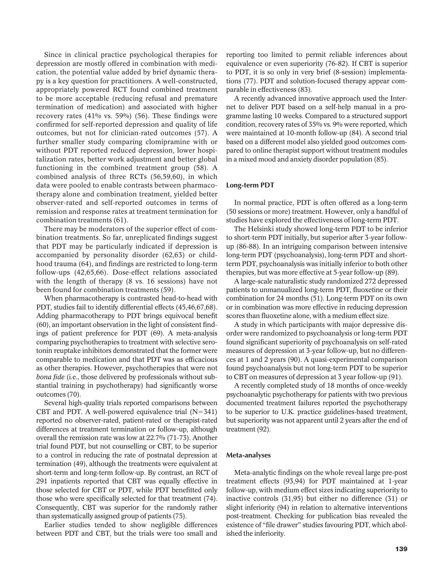Since in clinical practice psychological therapies for depression are mostly offered in combination with medication, the potential value added by brief dynamic therapy is a key question for practitioners. A well-constructed, appropriately powered RCT found combined treatment to be more acceptable (reducing refusal and premature termination of medication) and associated with higher recovery rates  $(41\%$  vs. 59%) (56). These findings were confirmed for self-reported depression and quality of life outcomes, but not for clinician-rated outcomes (57). A further smaller study comparing clomipramine with or without PDT reported reduced depression, lower hospitalization rates, better work adjustment and better global functioning in the combined treatment group (58). A combined analysis of three RCTs (56,59,60), in which data were pooled to enable contrasts between pharmacotherapy alone and combination treatment, yielded better observer-rated and self-reported outcomes in terms of remission and response rates at treatment termination for combination treatments (61).

There may be moderators of the superior effect of combination treatments. So far, unreplicated findings suggest that PDT may be particularly indicated if depression is accompanied by personality disorder (62,63) or childhood trauma (64), and findings are restricted to long-term follow-ups (42,65,66). Dose-effect relations associated with the length of therapy (8 vs. 16 sessions) have not been found for combination treatments (59).

When pharmacotherapy is contrasted head-to-head with PDT, studies fail to identify differential effects (45,46,67,68). Adding pharmacotherapy to PDT brings equivocal benefit (60), an important observation in the light of consistent findings of patient preference for PDT (69). A meta-analysis comparing psychotherapies to treatment with selective serotonin reuptake inhibitors demonstrated that the former were comparable to medication and that PDT was as efficacious as other therapies. However, psychotherapies that were not bona fide (i.e., those delivered by professionals without substantial training in psychotherapy) had significantly worse outcomes (70).

Several high-quality trials reported comparisons between CBT and PDT. A well-powered equivalence trial  $(N=341)$ reported no observer-rated, patient-rated or therapist-rated differences at treatment termination or follow-up, although overall the remission rate was low at 22.7% (71-73). Another trial found PDT, but not counselling or CBT, to be superior to a control in reducing the rate of postnatal depression at termination (49), although the treatments were equivalent at short-term and long-term follow-up. By contrast, an RCT of 291 inpatients reported that CBT was equally effective in those selected for CBT or PDT, while PDT benefitted only those who were specifically selected for that treatment (74). Consequently, CBT was superior for the randomly rather than systematically assigned group of patients (75).

Earlier studies tended to show negligible differences between PDT and CBT, but the trials were too small and reporting too limited to permit reliable inferences about equivalence or even superiority (76-82). If CBT is superior to PDT, it is so only in very brief (8-session) implementations (77). PDT and solution-focused therapy appear comparable in effectiveness (83).

A recently advanced innovative approach used the Internet to deliver PDT based on a self-help manual in a programme lasting 10 weeks. Compared to a structured support condition, recovery rates of 35% vs. 9% were reported, which were maintained at 10-month follow-up (84). A second trial based on a different model also yielded good outcomes compared to online therapist support without treatment modules in a mixed mood and anxiety disorder population (85).

#### Long-term PDT

In normal practice, PDT is often offered as a long-term (50 sessions or more) treatment. However, only a handful of studies have explored the effectiveness of long-term PDT.

The Helsinki study showed long-term PDT to be inferior to short-term PDT initially, but superior after 3-year followup (86-88). In an intriguing comparison between intensive long-term PDT (psychoanalysis), long-term PDT and shortterm PDT, psychoanalysis was initially inferior to both other therapies, but was more effective at 5-year follow-up (89).

A large-scale naturalistic study randomized 272 depressed patients to unmanualized long-term PDT, fluoxetine or their combination for 24 months (51). Long-term PDT on its own or in combination was more effective in reducing depression scores than fluoxetine alone, with a medium effect size.

A study in which participants with major depressive disorder were randomized to psychoanalysis or long-term PDT found significant superiority of psychoanalysis on self-rated measures of depression at 3-year follow-up, but no differences at 1 and 2 years (90). A quasi-experimental comparison found psychoanalysis but not long-term PDT to be superior to CBT on measures of depression at 3 year follow-up (91).

A recently completed study of 18 months of once-weekly psychoanalytic psychotherapy for patients with two previous documented treatment failures reported the psychotherapy to be superior to U.K. practice guidelines-based treatment, but superiority was not apparent until 2 years after the end of treatment (92).

#### Meta-analyses

Meta-analytic findings on the whole reveal large pre-post treatment effects (93,94) for PDT maintained at 1-year follow-up, with medium effect sizes indicating superiority to inactive controls (31,95) but either no difference (31) or slight inferiority (94) in relation to alternative interventions post-treatment. Checking for publication bias revealed the existence of "file drawer" studies favouring PDT, which abolished the inferiority.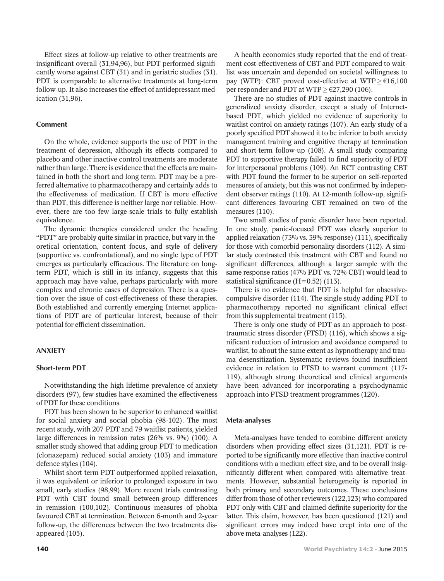Effect sizes at follow-up relative to other treatments are insignificant overall (31,94,96), but PDT performed significantly worse against CBT (31) and in geriatric studies (31). PDT is comparable to alternative treatments at long-term follow-up. It also increases the effect of antidepressant medication (31,96).

## Comment

On the whole, evidence supports the use of PDT in the treatment of depression, although its effects compared to placebo and other inactive control treatments are moderate rather than large. There is evidence that the effects are maintained in both the short and long term. PDT may be a preferred alternative to pharmacotherapy and certainly adds to the effectiveness of medication. If CBT is more effective than PDT, this difference is neither large nor reliable. However, there are too few large-scale trials to fully establish equivalence.

The dynamic therapies considered under the heading "PDT" are probably quite similar in practice, but vary in theoretical orientation, content focus, and style of delivery (supportive vs. confrontational), and no single type of PDT emerges as particularly efficacious. The literature on longterm PDT, which is still in its infancy, suggests that this approach may have value, perhaps particularly with more complex and chronic cases of depression. There is a question over the issue of cost-effectiveness of these therapies. Both established and currently emerging Internet applications of PDT are of particular interest, because of their potential for efficient dissemination.

## ANXIETY

### Short-term PDT

Notwithstanding the high lifetime prevalence of anxiety disorders (97), few studies have examined the effectiveness of PDT for these conditions.

PDT has been shown to be superior to enhanced waitlist for social anxiety and social phobia (98-102). The most recent study, with 207 PDT and 79 waitlist patients, yielded large differences in remission rates (26% vs. 9%) (100). A smaller study showed that adding group PDT to medication (clonazepam) reduced social anxiety (103) and immature defence styles (104).

Whilst short-term PDT outperformed applied relaxation, it was equivalent or inferior to prolonged exposure in two small, early studies (98,99). More recent trials contrasting PDT with CBT found small between-group differences in remission (100,102). Continuous measures of phobia favoured CBT at termination. Between 6-month and 2-year follow-up, the differences between the two treatments disappeared (105).

A health economics study reported that the end of treatment cost-effectiveness of CBT and PDT compared to waitlist was uncertain and depended on societal willingness to pay (WTP): CBT proved cost-effective at WTP $\geq$  €16,100 per responder and PDT at WTP  $\geq$   $\in$  27,290 (106).

There are no studies of PDT against inactive controls in generalized anxiety disorder, except a study of Internetbased PDT, which yielded no evidence of superiority to waitlist control on anxiety ratings (107). An early study of a poorly specified PDT showed it to be inferior to both anxiety management training and cognitive therapy at termination and short-term follow-up (108). A small study comparing PDT to supportive therapy failed to find superiority of PDT for interpersonal problems (109). An RCT contrasting CBT with PDT found the former to be superior on self-reported measures of anxiety, but this was not confirmed by independent observer ratings (110). At 12-month follow-up, significant differences favouring CBT remained on two of the measures (110).

Two small studies of panic disorder have been reported. In one study, panic-focused PDT was clearly superior to applied relaxation (73% vs. 39% response) (111), specifically for those with comorbid personality disorders (112). A similar study contrasted this treatment with CBT and found no significant differences, although a larger sample with the same response ratios (47% PDT vs. 72% CBT) would lead to statistical significance (H=0.52) (113).

There is no evidence that PDT is helpful for obsessivecompulsive disorder (114). The single study adding PDT to pharmacotherapy reported no significant clinical effect from this supplemental treatment (115).

There is only one study of PDT as an approach to posttraumatic stress disorder (PTSD) (116), which shows a significant reduction of intrusion and avoidance compared to waitlist, to about the same extent as hypnotherapy and trauma desensitization. Systematic reviews found insufficient evidence in relation to PTSD to warrant comment (117- 119), although strong theoretical and clinical arguments have been advanced for incorporating a psychodynamic approach into PTSD treatment programmes (120).

## Meta-analyses

Meta-analyses have tended to combine different anxiety disorders when providing effect sizes (31,121). PDT is reported to be significantly more effective than inactive control conditions with a medium effect size, and to be overall insignificantly different when compared with alternative treatments. However, substantial heterogeneity is reported in both primary and secondary outcomes. These conclusions differ from those of other reviewers (122,123) who compared PDT only with CBT and claimed definite superiority for the latter. This claim, however, has been questioned (121) and significant errors may indeed have crept into one of the above meta-analyses (122).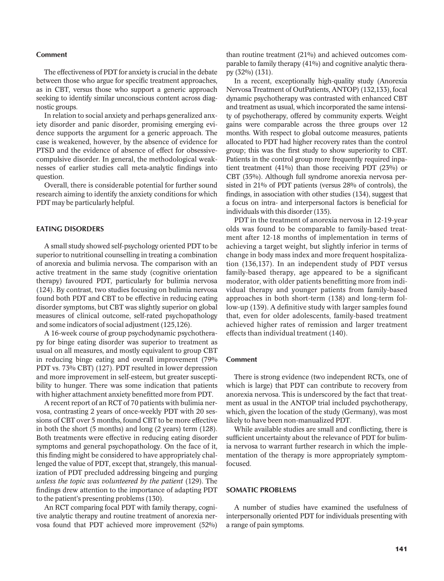#### Comment

The effectiveness of PDT for anxiety is crucial in the debate between those who argue for specific treatment approaches, as in CBT, versus those who support a generic approach seeking to identify similar unconscious content across diagnostic groups.

In relation to social anxiety and perhaps generalized anxiety disorder and panic disorder, promising emerging evidence supports the argument for a generic approach. The case is weakened, however, by the absence of evidence for PTSD and the evidence of absence of effect for obsessivecompulsive disorder. In general, the methodological weaknesses of earlier studies call meta-analytic findings into question.

Overall, there is considerable potential for further sound research aiming to identify the anxiety conditions for which PDT may be particularly helpful.

### EATING DISORDERS

A small study showed self-psychology oriented PDT to be superior to nutritional counselling in treating a combination of anorexia and bulimia nervosa. The comparison with an active treatment in the same study (cognitive orientation therapy) favoured PDT, particularly for bulimia nervosa (124). By contrast, two studies focusing on bulimia nervosa found both PDT and CBT to be effective in reducing eating disorder symptoms, but CBT was slightly superior on global measures of clinical outcome, self-rated psychopathology and some indicators of social adjustment (125,126).

A 16-week course of group psychodynamic psychotherapy for binge eating disorder was superior to treatment as usual on all measures, and mostly equivalent to group CBT in reducing binge eating and overall improvement (79% PDT vs. 73% CBT) (127). PDT resulted in lower depression and more improvement in self-esteem, but greater susceptibility to hunger. There was some indication that patients with higher attachment anxiety benefitted more from PDT.

A recent report of an RCT of 70 patients with bulimia nervosa, contrasting 2 years of once-weekly PDT with 20 sessions of CBT over 5 months, found CBT to be more effective in both the short (5 months) and long (2 years) term (128). Both treatments were effective in reducing eating disorder symptoms and general psychopathology. On the face of it, this finding might be considered to have appropriately challenged the value of PDT, except that, strangely, this manualization of PDT precluded addressing bingeing and purging unless the topic was volunteered by the patient (129). The findings drew attention to the importance of adapting PDT to the patient's presenting problems (130).

An RCT comparing focal PDT with family therapy, cognitive analytic therapy and routine treatment of anorexia nervosa found that PDT achieved more improvement (52%)

than routine treatment (21%) and achieved outcomes comparable to family therapy (41%) and cognitive analytic therapy (32%) (131).

In a recent, exceptionally high-quality study (Anorexia Nervosa Treatment of OutPatients, ANTOP) (132,133), focal dynamic psychotherapy was contrasted with enhanced CBT and treatment as usual, which incorporated the same intensity of psychotherapy, offered by community experts. Weight gains were comparable across the three groups over 12 months. With respect to global outcome measures, patients allocated to PDT had higher recovery rates than the control group; this was the first study to show superiority to CBT. Patients in the control group more frequently required inpatient treatment (41%) than those receiving PDT (23%) or CBT (35%). Although full syndrome anorexia nervosa persisted in 21% of PDT patients (versus 28% of controls), the findings, in association with other studies (134), suggest that a focus on intra- and interpersonal factors is beneficial for individuals with this disorder (135).

PDT in the treatment of anorexia nervosa in 12-19-year olds was found to be comparable to family-based treatment after 12-18 months of implementation in terms of achieving a target weight, but slightly inferior in terms of change in body mass index and more frequent hospitalization (136,137). In an independent study of PDT versus family-based therapy, age appeared to be a significant moderator, with older patients benefitting more from individual therapy and younger patients from family-based approaches in both short-term (138) and long-term follow-up (139). A definitive study with larger samples found that, even for older adolescents, family-based treatment achieved higher rates of remission and larger treatment effects than individual treatment (140).

#### Comment

There is strong evidence (two independent RCTs, one of which is large) that PDT can contribute to recovery from anorexia nervosa. This is underscored by the fact that treatment as usual in the ANTOP trial included psychotherapy, which, given the location of the study (Germany), was most likely to have been non-manualized PDT.

While available studies are small and conflicting, there is sufficient uncertainty about the relevance of PDT for bulimia nervosa to warrant further research in which the implementation of the therapy is more appropriately symptomfocused.

#### SOMATIC PROBLEMS

A number of studies have examined the usefulness of interpersonally oriented PDT for individuals presenting with a range of pain symptoms.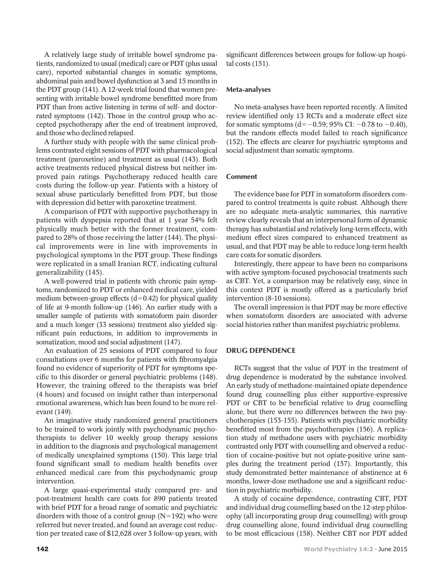A relatively large study of irritable bowel syndrome patients, randomized to usual (medical) care or PDT (plus usual care), reported substantial changes in somatic symptoms, abdominal pain and bowel dysfunction at 3 and 15 months in the PDT group (141). A 12-week trial found that women presenting with irritable bowel syndrome benefitted more from PDT than from active listening in terms of self- and doctorrated symptoms (142). Those in the control group who accepted psychotherapy after the end of treatment improved, and those who declined relapsed.

A further study with people with the same clinical problems contrasted eight sessions of PDT with pharmacological treatment (paroxetine) and treatment as usual (143). Both active treatments reduced physical distress but neither improved pain ratings. Psychotherapy reduced health care costs during the follow-up year. Patients with a history of sexual abuse particularly benefitted from PDT, but those with depression did better with paroxetine treatment.

A comparison of PDT with supportive psychotherapy in patients with dyspepsia reported that at 1 year 54% felt physically much better with the former treatment, compared to 28% of those receiving the latter (144). The physical improvements were in line with improvements in psychological symptoms in the PDT group. These findings were replicated in a small Iranian RCT, indicating cultural generalizability (145).

A well-powered trial in patients with chronic pain symptoms, randomized to PDT or enhanced medical care, yielded medium between-group effects  $(d=0.42)$  for physical quality of life at 9-month follow-up (146). An earlier study with a smaller sample of patients with somatoform pain disorder and a much longer (33 sessions) treatment also yielded significant pain reductions, in addition to improvements in somatization, mood and social adjustment (147).

An evaluation of 25 sessions of PDT compared to four consultations over 6 months for patients with fibromyalgia found no evidence of superiority of PDT for symptoms specific to this disorder or general psychiatric problems (148). However, the training offered to the therapists was brief (4 hours) and focused on insight rather than interpersonal emotional awareness, which has been found to be more relevant (149).

An imaginative study randomized general practitioners to be trained to work jointly with psychodynamic psychotherapists to deliver 10 weekly group therapy sessions in addition to the diagnosis and psychological management of medically unexplained symptoms (150). This large trial found significant small to medium health benefits over enhanced medical care from this psychodynamic group intervention.

A large quasi-experimental study compared pre- and post-treatment health care costs for 890 patients treated with brief PDT for a broad range of somatic and psychiatric disorders with those of a control group  $(N=192)$  who were referred but never treated, and found an average cost reduction per treated case of \$12,628 over 3 follow-up years, with significant differences between groups for follow-up hospital costs (151).

## Meta-analyses

No meta-analyses have been reported recently. A limited review identified only 13 RCTs and a moderate effect size for somatic symptoms (d= $-0.59$ ; 95% CI:  $-0.78$  to  $-0.40$ ), but the random effects model failed to reach significance (152). The effects are clearer for psychiatric symptoms and social adjustment than somatic symptoms.

## Comment

The evidence base for PDT in somatoform disorders compared to control treatments is quite robust. Although there are no adequate meta-analytic summaries, this narrative review clearly reveals that an interpersonal form of dynamic therapy has substantial and relatively long-term effects, with medium effect sizes compared to enhanced treatment as usual, and that PDT may be able to reduce long-term health care costs for somatic disorders.

Interestingly, there appear to have been no comparisons with active symptom-focused psychosocial treatments such as CBT. Yet, a comparison may be relatively easy, since in this context PDT is mostly offered as a particularly brief intervention (8-10 sessions).

The overall impression is that PDT may be more effective when somatoform disorders are associated with adverse social histories rather than manifest psychiatric problems.

## DRUG DEPENDENCE

RCTs suggest that the value of PDT in the treatment of drug dependence is moderated by the substance involved. An early study of methadone-maintained opiate dependence found drug counselling plus either supportive-expressive PDT or CBT to be beneficial relative to drug counselling alone, but there were no differences between the two psychotherapies (153-155). Patients with psychiatric morbidity benefitted most from the psychotherapies (156). A replication study of methadone users with psychiatric morbidity contrasted only PDT with counselling and observed a reduction of cocaine-positive but not opiate-positive urine samples during the treatment period (157). Importantly, this study demonstrated better maintenance of abstinence at 6 months, lower-dose methadone use and a significant reduction in psychiatric morbidity.

A study of cocaine dependence, contrasting CBT, PDT and individual drug counselling based on the 12-step philosophy (all incorporating group drug counselling) with group drug counselling alone, found individual drug counselling to be most efficacious (158). Neither CBT nor PDT added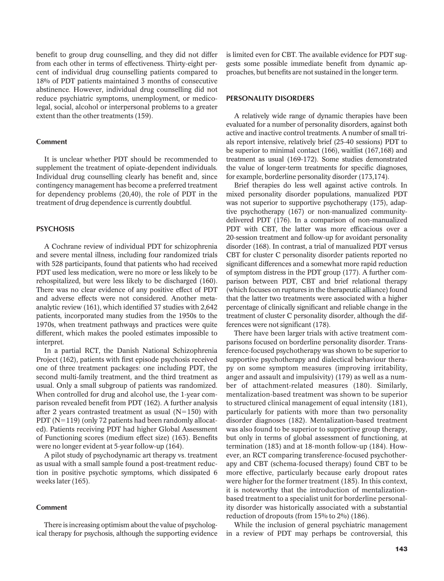benefit to group drug counselling, and they did not differ from each other in terms of effectiveness. Thirty-eight percent of individual drug counselling patients compared to 18% of PDT patients maintained 3 months of consecutive abstinence. However, individual drug counselling did not reduce psychiatric symptoms, unemployment, or medicolegal, social, alcohol or interpersonal problems to a greater extent than the other treatments (159).

#### Comment

It is unclear whether PDT should be recommended to supplement the treatment of opiate-dependent individuals. Individual drug counselling clearly has benefit and, since contingency management has become a preferred treatment for dependency problems (20,40), the role of PDT in the treatment of drug dependence is currently doubtful.

## **PSYCHOSIS**

A Cochrane review of individual PDT for schizophrenia and severe mental illness, including four randomized trials with 528 participants, found that patients who had received PDT used less medication, were no more or less likely to be rehospitalized, but were less likely to be discharged (160). There was no clear evidence of any positive effect of PDT and adverse effects were not considered. Another metaanalytic review (161), which identified 37 studies with 2,642 patients, incorporated many studies from the 1950s to the 1970s, when treatment pathways and practices were quite different, which makes the pooled estimates impossible to interpret.

In a partial RCT, the Danish National Schizophrenia Project (162), patients with first episode psychosis received one of three treatment packages: one including PDT, the second multi-family treatment, and the third treatment as usual. Only a small subgroup of patients was randomized. When controlled for drug and alcohol use, the 1-year comparison revealed benefit from PDT (162). A further analysis after 2 years contrasted treatment as usual  $(N=150)$  with PDT ( $N=119$ ) (only 72 patients had been randomly allocated). Patients receiving PDT had higher Global Assessment of Functioning scores (medium effect size) (163). Benefits were no longer evident at 5-year follow-up (164).

A pilot study of psychodynamic art therapy vs. treatment as usual with a small sample found a post-treatment reduction in positive psychotic symptoms, which dissipated 6 weeks later (165).

#### Comment

There is increasing optimism about the value of psychological therapy for psychosis, although the supporting evidence is limited even for CBT. The available evidence for PDT suggests some possible immediate benefit from dynamic approaches, but benefits are not sustained in the longer term.

#### PERSONALITY DISORDERS

A relatively wide range of dynamic therapies have been evaluated for a number of personality disorders, against both active and inactive control treatments. A number of small trials report intensive, relatively brief (25-40 sessions) PDT to be superior to minimal contact (166), waitlist (167,168) and treatment as usual (169-172). Some studies demonstrated the value of longer-term treatments for specific diagnoses, for example, borderline personality disorder (173,174).

Brief therapies do less well against active controls. In mixed personality disorder populations, manualized PDT was not superior to supportive psychotherapy (175), adaptive psychotherapy (167) or non-manualized communitydelivered PDT (176). In a comparison of non-manualized PDT with CBT, the latter was more efficacious over a 20-session treatment and follow-up for avoidant personality disorder (168). In contrast, a trial of manualized PDT versus CBT for cluster C personality disorder patients reported no significant differences and a somewhat more rapid reduction of symptom distress in the PDT group (177). A further comparison between PDT, CBT and brief relational therapy (which focuses on ruptures in the therapeutic alliance) found that the latter two treatments were associated with a higher percentage of clinically significant and reliable change in the treatment of cluster C personality disorder, although the differences were not significant (178).

There have been larger trials with active treatment comparisons focused on borderline personality disorder. Transference-focused psychotherapy was shown to be superior to supportive psychotherapy and dialectical behaviour therapy on some symptom measures (improving irritability, anger and assault and impulsivity) (179) as well as a number of attachment-related measures (180). Similarly, mentalization-based treatment was shown to be superior to structured clinical management of equal intensity (181), particularly for patients with more than two personality disorder diagnoses (182). Mentalization-based treatment was also found to be superior to supportive group therapy, but only in terms of global assessment of functioning, at termination (183) and at 18-month follow-up (184). However, an RCT comparing transference-focused psychotherapy and CBT (schema-focused therapy) found CBT to be more effective, particularly because early dropout rates were higher for the former treatment (185). In this context, it is noteworthy that the introduction of mentalizationbased treatment to a specialist unit for borderline personality disorder was historically associated with a substantial reduction of dropouts (from 15% to 2%) (186).

While the inclusion of general psychiatric management in a review of PDT may perhaps be controversial, this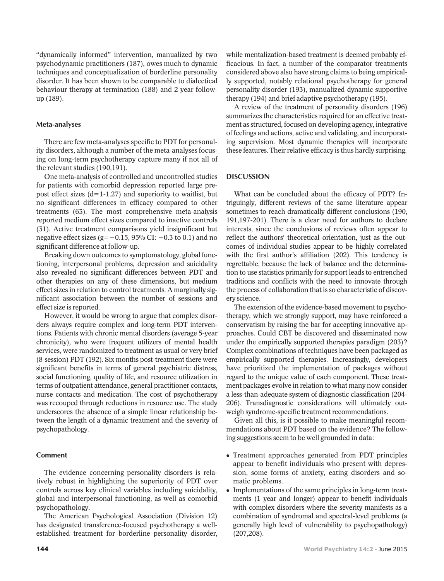"dynamically informed" intervention, manualized by two psychodynamic practitioners (187), owes much to dynamic techniques and conceptualization of borderline personality disorder. It has been shown to be comparable to dialectical behaviour therapy at termination (188) and 2-year followup (189).

## Meta-analyses

There are few meta-analyses specific to PDT for personality disorders, although a number of the meta-analyses focusing on long-term psychotherapy capture many if not all of the relevant studies (190,191).

One meta-analysis of controlled and uncontrolled studies for patients with comorbid depression reported large prepost effect sizes  $(d=1-1.27)$  and superiority to waitlist, but no significant differences in efficacy compared to other treatments (63). The most comprehensive meta-analysis reported medium effect sizes compared to inactive controls (31). Active treatment comparisons yield insignificant but negative effect sizes ( $g=-0.15$ , 95% CI:  $-0.3$  to 0.1) and no significant difference at follow-up.

Breaking down outcomes to symptomatology, global functioning, interpersonal problems, depression and suicidality also revealed no significant differences between PDT and other therapies on any of these dimensions, but medium effect sizes in relation to control treatments. A marginally significant association between the number of sessions and effect size is reported.

However, it would be wrong to argue that complex disorders always require complex and long-term PDT interventions. Patients with chronic mental disorders (average 5-year chronicity), who were frequent utilizers of mental health services, were randomized to treatment as usual or very brief (8-session) PDT (192). Six months post-treatment there were significant benefits in terms of general psychiatric distress, social functioning, quality of life, and resource utilization in terms of outpatient attendance, general practitioner contacts, nurse contacts and medication. The cost of psychotherapy was recouped through reductions in resource use. The study underscores the absence of a simple linear relationship between the length of a dynamic treatment and the severity of psychopathology.

## Comment

The evidence concerning personality disorders is relatively robust in highlighting the superiority of PDT over controls across key clinical variables including suicidality, global and interpersonal functioning, as well as comorbid psychopathology.

The American Psychological Association (Division 12) has designated transference-focused psychotherapy a wellestablished treatment for borderline personality disorder, while mentalization-based treatment is deemed probably efficacious. In fact, a number of the comparator treatments considered above also have strong claims to being empirically supported, notably relational psychotherapy for general personality disorder (193), manualized dynamic supportive therapy (194) and brief adaptive psychotherapy (195).

A review of the treatment of personality disorders (196) summarizes the characteristics required for an effective treatment as structured, focused on developing agency, integrative of feelings and actions, active and validating, and incorporating supervision. Most dynamic therapies will incorporate these features. Their relative efficacy is thus hardly surprising.

## **DISCUSSION**

What can be concluded about the efficacy of PDT? Intriguingly, different reviews of the same literature appear sometimes to reach dramatically different conclusions (190, 191,197-201). There is a clear need for authors to declare interests, since the conclusions of reviews often appear to reflect the authors' theoretical orientation, just as the outcomes of individual studies appear to be highly correlated with the first author's affiliation (202). This tendency is regrettable, because the lack of balance and the determination to use statistics primarily for support leads to entrenched traditions and conflicts with the need to innovate through the process of collaboration that is so characteristic of discovery science.

The extension of the evidence-based movement to psychotherapy, which we strongly support, may have reinforced a conservatism by raising the bar for accepting innovative approaches. Could CBT be discovered and disseminated now under the empirically supported therapies paradigm (203)? Complex combinations of techniques have been packaged as empirically supported therapies. Increasingly, developers have prioritized the implementation of packages without regard to the unique value of each component. These treatment packages evolve in relation to what many now consider a less-than-adequate system of diagnostic classification (204- 206). Transdiagnostic considerations will ultimately outweigh syndrome-specific treatment recommendations.

Given all this, is it possible to make meaningful recommendations about PDT based on the evidence? The following suggestions seem to be well grounded in data:

- Treatment approaches generated from PDT principles appear to benefit individuals who present with depression, some forms of anxiety, eating disorders and somatic problems.
- Implementations of the same principles in long-term treatments (1 year and longer) appear to benefit individuals with complex disorders where the severity manifests as a combination of syndromal and spectral-level problems (a generally high level of vulnerability to psychopathology) (207,208).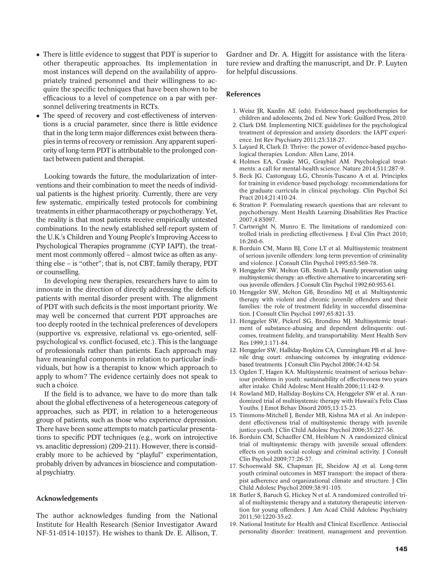- There is little evidence to suggest that PDT is superior to other therapeutic approaches. Its implementation in most instances will depend on the availability of appropriately trained personnel and their willingness to acquire the specific techniques that have been shown to be efficacious to a level of competence on a par with personnel delivering treatments in RCTs.
- The speed of recovery and cost-effectiveness of interventions is a crucial parameter, since there is little evidence that in the long term major differences exist between therapies in terms of recovery or remission. Any apparent superiority of long-term PDT is attributable to the prolonged contact between patient and therapist.

Looking towards the future, the modularization of interventions and their combination to meet the needs of individual patients is the highest priority. Currently, there are very few systematic, empirically tested protocols for combining treatments in either pharmacotherapy or psychotherapy. Yet, the reality is that most patients receive empirically untested combinations. In the newly established self-report system of the U.K.'s Children and Young People's Improving Access to Psychological Therapies programme (CYP IAPT), the treatment most commonly offered – almost twice as often as anything else – is "other"; that is, not CBT, family therapy, PDT or counselling.

In developing new therapies, researchers have to aim to innovate in the direction of directly addressing the deficits patients with mental disorder present with. The alignment of PDT with such deficits is the most important priority. We may well be concerned that current PDT approaches are too deeply rooted in the technical preferences of developers (supportive vs. expressive, relational vs. ego-oriented, selfpsychological vs. conflict-focused, etc.). This is the language of professionals rather than patients. Each approach may have meaningful components in relation to particular individuals, but how is a therapist to know which approach to apply to whom? The evidence certainly does not speak to such a choice.

If the field is to advance, we have to do more than talk about the global effectiveness of a heterogeneous category of approaches, such as PDT, in relation to a heterogeneous group of patients, such as those who experience depression. There have been some attempts to match particular presentations to specific PDT techniques (e.g., work on introjective vs. anaclitic depression) (209-211). However, there is considerably more to be achieved by "playful" experimentation, probably driven by advances in bioscience and computational psychiatry.

#### Acknowledgements

The author acknowledges funding from the National Institute for Health Research (Senior Investigator Award NF-51-0514-10157). He wishes to thank Dr. E. Allison, T.

Gardner and Dr. A. Higgitt for assistance with the literature review and drafting the manuscript, and Dr. P. Luyten for helpful discussions.

#### References

- 1. Weisz JR, Kazdin AE (eds). Evidence-based psychotherapies for children and adolescents, 2nd ed. New York: Guilford Press, 2010.
- 2. Clark DM. Implementing NICE guidelines for the psychological treatment of depression and anxiety disorders: the IAPT experience. Int Rev Psychiatry 2011;23:318-27.
- 3. Layard R, Clark D. Thrive: the power of evidence-based psychological therapies. London: Allen Lane, 2014.
- 4. Holmes EA, Craske MG, Graybiel AM. Psychological treatments: a call for mental-health science. Nature 2014;511:287-9.
- 5. Beck JG, Castonguay LG, Chronis-Tuscano A et al. Principles for training in evidence-based psychology: recommendations for the graduate curricula in clinical psychology. Clin Psychol Sci Pract 2014;21:410-24.
- 6. Stratton P. Formulating research questions that are relevant to psychotherapy. Ment Health Learning Disabilities Res Practice 2007;4:83097.
- 7. Cartwright N, Munro E. The limitations of randomized controlled trials in predicting effectiveness. J Eval Clin Pract 2010; 16:260-6.
- 8. Borduin CM, Mann BJ, Cone LT et al. Multisystemic treatment of serious juvenile offenders: long-term prevention of criminality and violence. J Consult Clin Psychol 1995;63:569-78.
- 9. Henggeler SW, Melton GB, Smith LA. Family preservation using multisystemic therapy: an effective alternative to incarcerating serious juvenile offenders. J Consult Clin Psychol 1992;60:953-61.
- 10. Henggeler SW, Melton GB, Brondino MJ et al. Multisystemic therapy with violent and chronic juvenile offenders and their families: the role of treatment fidelity in successful dissemination. J Consult Clin Psychol 1997;65:821-33.
- 11. Henggeler SW, Pickrel SG, Brondino MJ. Multisystemic treatment of substance-abusing and dependent delinquents: outcomes, treatment fidelity, and transportability. Ment Health Serv Res 1999;1:171-84.
- 12. Henggeler SW, Halliday-Boykins CA, Cunningham PB et al. Juvenile drug court: enhancing outcomes by integrating evidencebased treatments. J Consult Clin Psychol 2006;74:42-54.
- 13. Ogden T, Hagen KA. Multisystemic treatment of serious behaviour problems in youth: sustainability of effectiveness two years after intake. Child Adolesc Ment Health 2006;11:142-9.
- 14. Rowland MD, Halliday-Boykins CA, Henggeler SW et al. A randomized trial of multisystemic therapy with Hawaii's Felix Class Youths. J Emot Behav Disord 2005;13:13-23.
- 15. Timmons-Mitchell J, Bender MB, Kishna MA et al. An independent effectiveness trial of multisystemic therapy with juvenile justice youth. J Clin Child Adolesc Psychol 2006;35:227-36.
- 16. Borduin CM, Schaeffer CM, Heiblum N. A randomized clinical trial of multisystemic therapy with juvenile sexual offenders: effects on youth social ecology and criminal activity. J Consult Clin Psychol 2009;77:26-37.
- 17. Schoenwald SK, Chapman JE, Sheidow AJ et al. Long-term youth criminal outcomes in MST transport: the impact of therapist adherence and organizational climate and structure. J Clin Child Adolesc Psychol 2009;38:91-105.
- 18. Butler S, Baruch G, Hickey N et al. A randomized controlled trial of multisystemic therapy and a statutory therapeutic intervention for young offenders. J Am Acad Child Adolesc Psychiatry 2011;50:1220-35.e2.
- 19. National Institute for Health and Clinical Excellence. Antisocial personality disorder: treatment, management and prevention.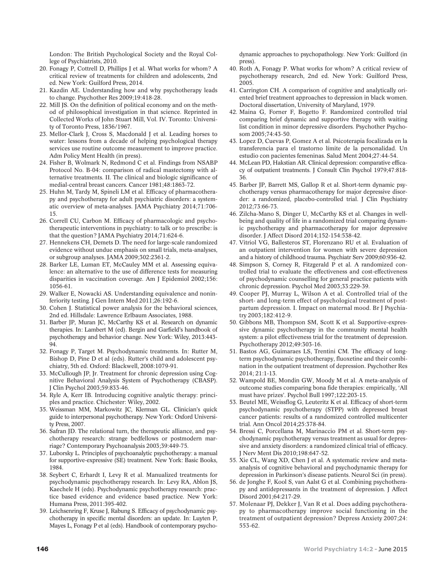London: The British Psychological Society and the Royal College of Psychiatrists, 2010.

- 20. Fonagy P, Cottrell D, Phillips J et al. What works for whom? A critical review of treatments for children and adolescents, 2nd ed. New York: Guilford Press, 2014.
- 21. Kazdin AE. Understanding how and why psychotherapy leads to change. Psychother Res 2009;19:418-28.
- 22. Mill JS. On the definition of political economy and on the method of philosophical investigation in that science. Reprinted in Collected Works of John Stuart Mill, Vol. IV. Toronto: University of Toronto Press, 1836/1967.
- 23. Mellor-Clark J, Cross S, Macdonald J et al. Leading horses to water: lessons from a decade of helping psychological therapy services use routine outcome measurement to improve practice. Adm Policy Ment Health (in press).
- 24. Fisher B, Wolmark N, Redmond C et al. Findings from NSABP Protocol No. B-04: comparison of radical mastectomy with alternative treatments. II. The clinical and biologic significance of medial-central breast cancers. Cancer 1981;48:1863-72.
- 25. Huhn M, Tardy M, Spineli LM et al. Efficacy of pharmacotherapy and psychotherapy for adult psychiatric disorders: a systematic overview of meta-analyses. JAMA Psychiatry 2014;71:706- 15.
- 26. Correll CU, Carbon M. Efficacy of pharmacologic and psychotherapeutic interventions in psychiatry: to talk or to prescribe: is that the question? JAMA Psychiatry 2014;71:624-6.
- 27. Hennekens CH, Demets D. The need for large-scale randomized evidence without undue emphasis on small trials, meta-analyses, or subgroup analyses. JAMA 2009;302:2361-2.
- 28. Barker LE, Luman ET, McCauley MM et al. Assessing equivalence: an alternative to the use of difference tests for measuring disparities in vaccination coverage. Am J Epidemiol 2002;156: 1056-61.
- 29. Walker E, Nowacki AS. Understanding equivalence and noninferiority testing. J Gen Intern Med 2011;26:192-6.
- 30. Cohen J. Statistical power analysis for the behavioral sciences, 2nd ed. Hillsdale: Lawrence Erlbaum Associates, 1988.
- 31. Barber JP, Muran JC, McCarthy KS et al. Research on dynamic therapies. In: Lambert M (ed). Bergin and Garfield's handbook of psychotherapy and behavior change. New York: Wiley, 2013:443- 94.
- 32. Fonagy P, Target M. Psychodynamic treatments. In: Rutter M, Bishop D, Pine D et al (eds). Rutter's child and adolescent psychiatry, 5th ed. Oxford: Blackwell, 2008:1079-91.
- 33. McCullough JP, Jr. Treatment for chronic depression using Cognitive Behavioral Analysis System of Psychotherapy (CBASP). J Clin Psychol 2003;59:833-46.
- 34. Ryle A, Kerr IB. Introducing cognitive analytic therapy: principles and practice. Chichester: Wiley, 2002.
- 35. Weissman MM, Markowitz JC, Klerman GL. Clinician's quick guide to interpersonal psychotherapy. New York: Oxford University Press, 2007.
- 36. Safran JD. The relational turn, the therapeutic alliance, and psychotherapy research: strange bedfellows or postmodern marriage? Contemporary Psychoanalysis 2003;39:449-75.
- 37. Luborsky L. Principles of psychoanalytic psychotherapy: a manual for supportive-expressive (SE) treatment. New York: Basic Books, 1984.
- 38. Seybert C, Erhardt I, Levy R et al. Manualized treatments for psychodynamic psychotherapy research. In: Levy RA, Ablon JS, Kaechele H (eds). Psychodynamic psychotherapy research: practice based evidence and evidence based practice. New York: Humana Press, 2011:395-402.
- 39. Leichsenring F, Kruse J, Rabung S. Efficacy of psychodynamic psychotherapy in specific mental disorders: an update. In: Luyten P, Mayes L, Fonagy P et al (eds). Handbook of contemporary psycho-

dynamic approaches to psychopathology. New York: Guilford (in press).

- 40. Roth A, Fonagy P. What works for whom? A critical review of psychotherapy research, 2nd ed. New York: Guilford Press, 2005.
- 41. Carrington CH. A comparison of cognitive and analytically oriented brief treatment approaches to depression in black women. Doctoral dissertation, University of Maryland, 1979.
- 42. Maina G, Forner F, Bogetto F. Randomized controlled trial comparing brief dynamic and supportive therapy with waiting list condition in minor depressive disorders. Psychother Psychosom 2005;74:43-50.
- 43. Lopez D, Cuevas P, Gomez A et al. Psicoterapia focalizada en la transferencia para el trastorno límite de la personalidad. Un estudio con pacientes femeninas. Salud Ment 2004;27:44-54.
- 44. McLean PD, Hakstian AR. Clinical depression: comparative efficacy of outpatient treatments. J Consult Clin Psychol 1979;47:818- 36.
- 45. Barber JP, Barrett MS, Gallop R et al. Short-term dynamic psychotherapy versus pharmacotherapy for major depressive disorder: a randomized, placebo-controlled trial. J Clin Psychiatry 2012;73:66-73.
- 46. Zilcha-Mano S, Dinger U, McCarthy KS et al. Changes in wellbeing and quality of life in a randomized trial comparing dynamic psychotherapy and pharmacotherapy for major depressive disorder. J Affect Disord 2014;152-154:538-42.
- 47. Vitriol VG, Ballesteros ST, Florenzano RU et al. Evaluation of an outpatient intervention for women with severe depression and a history of childhood trauma. Psychiatr Serv 2009;60:936-42.
- 48. Simpson S, Corney R, Fitzgerald P et al. A randomized controlled trial to evaluate the effectiveness and cost-effectiveness of psychodynamic counselling for general practice patients with chronic depression. Psychol Med 2003;33:229-39.
- 49. Cooper PJ, Murray L, Wilson A et al. Controlled trial of the short- and long-term effect of psychological treatment of postpartum depression. I. Impact on maternal mood. Br J Psychiatry 2003;182:412-9.
- 50. Gibbons MB, Thompson SM, Scott K et al. Supportive-expressive dynamic psychotherapy in the community mental health system: a pilot effectiveness trial for the treatment of depression. Psychotherapy 2012;49:303-16.
- 51. Bastos AG, Guimaraes LS, Trentini CM. The efficacy of longterm psychodynamic psychotherapy, fluoxetine and their combination in the outpatient treatment of depression. Psychother Res 2014; 21:1-13.
- 52. Wampold BE, Mondin GW, Moody M et al. A meta-analysis of outcome studies comparing bona fide therapies: empirically, 'All must have prizes'. Psychol Bull 1997;122:203-15.
- 53. Beutel ME, Weissflog G, Leuteritz K et al. Efficacy of short-term psychodynamic psychotherapy (STPP) with depressed breast cancer patients: results of a randomized controlled multicenter trial. Ann Oncol 2014;25:378-84.
- 54. Bressi C, Porcellana M, Marinaccio PM et al. Short-term psychodynamic psychotherapy versus treatment as usual for depressive and anxiety disorders: a randomized clinical trial of efficacy. J Nerv Ment Dis 2010;198:647-52.
- 55. Xie CL, Wang XD, Chen J et al. A systematic review and metaanalysis of cognitive behavioral and psychodynamic therapy for depression in Parkinson's disease patients. Neurol Sci (in press).
- 56. de Jonghe F, Kool S, van Aalst G et al. Combining psychotherapy and antidepressants in the treatment of depression. J Affect Disord 2001;64:217-29.
- 57. Molenaar PJ, Dekker J, Van R et al. Does adding psychotherapy to pharmacotherapy improve social functioning in the treatment of outpatient depression? Depress Anxiety 2007;24: 553-62.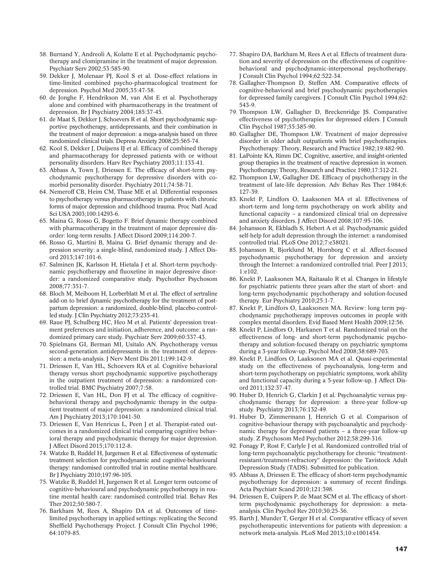- 58. Burnand Y, Andreoli A, Kolatte E et al. Psychodynamic psychotherapy and clomipramine in the treatment of major depression. Psychiatr Serv 2002;53:585-90.
- 59. Dekker J, Molenaar PJ, Kool S et al. Dose-effect relations in time-limited combined psycho-pharmacological treatment for depression. Psychol Med 2005;35:47-58.
- 60. de Jonghe F, Hendrikson M, van Alst E et al. Psychotherapy alone and combined with pharmacotherapy in the treatment of depression. Br J Psychiatry 2004;185:37-45.
- 61. de Maat S, Dekker J, Schoevers R et al. Short psychodynamic supportive psychotherapy, antidepressants, and their combination in the treatment of major depression: a mega-analysis based on three randomized clinical trials. Depress Anxiety 2008;25:565-74.
- 62. Kool S, Dekker J, Duijsens IJ et al. Efficacy of combined therapy and pharmacotherapy for depressed patients with or without personality disorders. Harv Rev Psychiatry 2003;11:133-41.
- 63. Abbass A, Town J, Driessen E. The efficacy of short-term psychodynamic psychotherapy for depressive disorders with comorbid personality disorder. Psychiatry 2011;74:58-71.
- 64. Nemeroff CB, Heim CM, Thase ME et al. Differential responses to psychotherapy versus pharmacotherapy in patients with chronic forms of major depression and childhood trauma. Proc Natl Acad Sci USA 2003;100:14293-6.
- 65. Maina G, Rosso G, Bogetto F. Brief dynamic therapy combined with pharmacotherapy in the treatment of major depressive disorder: long-term results. J Affect Disord 2009;114:200-7.
- 66. Rosso G, Martini B, Maina G. Brief dynamic therapy and depression severity: a single-blind, randomized study. J Affect Disord 2013;147:101-6.
- 67. Salminen JK, Karlsson H, Hietala J et al. Short-term psychodynamic psychotherapy and fluoxetine in major depressive disorder: a randomized comparative study. Psychother Psychosom 2008;77:351-7.
- 68. Bloch M, Meiboom H, Lorberblatt M et al. The effect of sertraline add-on to brief dynamic psychotherapy for the treatment of postpartum depression: a randomized, double-blind, placebo-controlled study. J Clin Psychiatry 2012;73:235-41.
- 69. Raue PJ, Schulberg HC, Heo M et al. Patients' depression treatment preferences and initiation, adherence, and outcome: a randomized primary care study. Psychiatr Serv 2009;60:337-43.
- 70. Spielmans GI, Berman MI, Usitalo AN. Psychotherapy versus second-generation antidepressants in the treatment of depression: a meta-analysis. J Nerv Ment Dis 2011;199:142-9.
- 71. Driessen E, Van HL, Schoevers RA et al. Cognitive behavioral therapy versus short psychodynamic supportive psychotherapy in the outpatient treatment of depression: a randomized controlled trial. BMC Psychiatry 2007;7:58.
- 72. Driessen E, Van HL, Don FJ et al. The efficacy of cognitivebehavioral therapy and psychodynamic therapy in the outpatient treatment of major depression: a randomized clinical trial. Am J Psychiatry 2013;170:1041-50.
- 73. Driessen E, Van Henricus L, Peen J et al. Therapist-rated outcomes in a randomized clinical trial comparing cognitive behavioral therapy and psychodynamic therapy for major depression. J Affect Disord 2015;170:112-8.
- 74. Watzke B, Ruddel H, Jurgensen R et al. Effectiveness of systematic treatment selection for psychodynamic and cognitive-behavioural therapy: randomised controlled trial in routine mental healthcare. Br J Psychiatry 2010;197:96-105.
- 75. Watzke B, Ruddel H, Jurgensen R et al. Longer term outcome of cognitive-behavioural and psychodynamic psychotherapy in routine mental health care: randomised controlled trial. Behav Res Ther 2012;50:580-7.
- 76. Barkham M, Rees A, Shapiro DA et al. Outcomes of timelimited psychotherapy in applied settings: replicating the Second Sheffield Psychotherapy Project. J Consult Clin Psychol 1996; 64:1079-85.
- 77. Shapiro DA, Barkham M, Rees A et al. Effects of treatment duration and severity of depression on the effectiveness of cognitivebehavioral and psychodynamic-interpersonal psychotherapy. J Consult Clin Psychol 1994;62:522-34.
- 78. Gallagher-Thompson D, Steffen AM. Comparative effects of cognitive-behavioral and brief psychodynamic psychotherapies for depressed family caregivers. J Consult Clin Psychol 1994;62: 543-9.
- 79. Thompson LW, Gallagher D, Breckenridge JS. Comparative effectiveness of psychotherapies for depressed elders. J Consult Clin Psychol 1987;55:385-90.
- 80. Gallagher DE, Thompson LW. Treatment of major depressive disorder in older adult outpatients with brief psychotherapies. Psychotherapy: Theory, Research and Practice 1982;19:482-90.
- 81. LaPointe KA, Rimm DC. Cognitive, assertive, and insight-oriented group therapies in the treatment of reactive depression in women. Psychotherapy: Theory, Research and Practice 1980;17:312-21.
- 82. Thompson LW, Gallagher DE. Efficacy of psychotherapy in the treatment of late-life depression. Adv Behav Res Ther 1984;6: 127-39.
- 83. Knekt P, Lindfors O, Laaksonen MA et al. Effectiveness of short-term and long-term psychotherapy on work ability and functional capacity – a randomized clinical trial on depressive and anxiety disorders. J Affect Disord 2008;107:95-106.
- 84. Johansson R, Ekbladh S, Hebert A et al. Psychodynamic guided self-help for adult depression through the internet: a randomised controlled trial. PLoS One 2012;7:e38021.
- 85. Johansson R, Bjorklund M, Hornborg C et al. Affect-focused psychodynamic psychotherapy for depression and anxiety through the Internet: a randomized controlled trial. Peer J 2013; 1:e102.
- 86. Knekt P, Laaksonen MA, Raitasalo R et al. Changes in lifestyle for psychiatric patients three years after the start of short- and long-term psychodynamic psychotherapy and solution-focused therapy. Eur Psychiatry 2010;25:1-7.
- 87. Knekt P, Lindfors O, Laaksonen MA. Review: long term psychodynamic psychotherapy improves outcomes in people with complex mental disorders. Evid Based Ment Health 2009;12:56.
- 88. Knekt P, Lindfors O, Harkanen T et al. Randomized trial on the effectiveness of long- and short-term psychodynamic psychotherapy and solution-focused therapy on psychiatric symptoms during a 3-year follow-up. Psychol Med 2008;38:689-703.
- 89. Knekt P, Lindfors O, Laaksonen MA et al. Quasi-experimental study on the effectiveness of psychoanalysis, long-term and short-term psychotherapy on psychiatric symptoms, work ability and functional capacity during a 5-year follow-up. J Affect Disord 2011;132:37-47.
- 90. Huber D, Henrich G, Clarkin J et al. Psychoanalytic versus psychodynamic therapy for depression: a three-year follow-up study. Psychiatry 2013;76:132-49.
- 91. Huber D, Zimmermann J, Henrich G et al. Comparison of cognitive-behaviour therapy with psychoanalytic and psychodynamic therapy for depressed patients – a three-year follow-up study. Z Psychosom Med Psychother 2012;58:299-316.
- 92. Fonagy P, Rost F, Carlyle J et al. Randomized controlled trial of long-term psychoanalytic psychotherapy for chronic "treatmentresistant/treatment-refractory" depression: the Tavistock Adult Depression Study (TADS). Submitted for publication.
- 93. Abbass A, Driessen E. The efficacy of short-term psychodynamic psychotherapy for depression: a summary of recent findings. Acta Psychiatr Scand 2010;121:398.
- 94. Driessen E, Cuijpers P, de Maat SCM et al. The efficacy of shortterm psychodynamic psychotherapy for depression: a metaanalysis. Clin Psychol Rev 2010;30:25-36.
- 95. Barth J, Munder T, Gerger H et al. Comparative efficacy of seven psychotherapeutic interventions for patients with depression: a network meta-analysis. PLoS Med 2013;10:e1001454.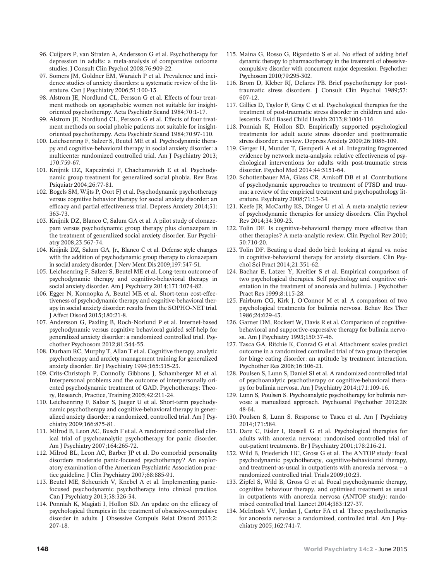- 96. Cuijpers P, van Straten A, Andersson G et al. Psychotherapy for depression in adults: a meta-analysis of comparative outcome studies. J Consult Clin Psychol 2008;76:909-22.
- 97. Somers JM, Goldner EM, Waraich P et al. Prevalence and incidence studies of anxiety disorders: a systematic review of the literature. Can J Psychiatry 2006;51:100-13.
- 98. Alstrom JE, Nordlund CL, Persson G et al. Effects of four treatment methods on agoraphobic women not suitable for insightoriented psychotherapy. Acta Psychiatr Scand 1984;70:1-17.
- 99. Alstrom JE, Nordlund CL, Persson G et al. Effects of four treatment methods on social phobic patients not suitable for insightoriented psychotherapy. Acta Psychiatr Scand 1984;70:97-110.
- 100. Leichsenring F, Salzer S, Beutel ME et al. Psychodynamic therapy and cognitive-behavioral therapy in social anxiety disorder: a multicenter randomized controlled trial. Am J Psychiatry 2013; 170:759-67.
- 101. Knijnik DZ, Kapczinski F, Chachamovich E et al. Psychodynamic group treatment for generalized social phobia. Rev Bras Psiquiatr 2004;26:77-81.
- 102. Bogels SM, Wijts P, Oort FJ et al. Psychodynamic psychotherapy versus cognitive behavior therapy for social anxiety disorder: an efficacy and partial effectiveness trial. Depress Anxiety 2014;31: 363-73.
- 103. Knijnik DZ, Blanco C, Salum GA et al. A pilot study of clonazepam versus psychodynamic group therapy plus clonazepam in the treatment of generalized social anxiety disorder. Eur Psychiatry 2008;23:567-74.
- 104. Knijnik DZ, Salum GA, Jr., Blanco C et al. Defense style changes with the addition of psychodynamic group therapy to clonazepam in social anxiety disorder. J Nerv Ment Dis 2009;197:547-51.
- 105. Leichsenring F, Salzer S, Beutel ME et al. Long-term outcome of psychodynamic therapy and cognitive-behavioral therapy in social anxiety disorder. Am J Psychiatry 2014;171:1074-82.
- 106. Egger N, Konnopka A, Beutel ME et al. Short-term cost-effectiveness of psychodynamic therapy and cognitive-behavioral therapy in social anxiety disorder: results from the SOPHO-NET trial. J Affect Disord 2015;180:21-8.
- 107. Andersson G, Paxling B, Roch-Norlund P et al. Internet-based psychodynamic versus cognitive behavioral guided self-help for generalized anxiety disorder: a randomized controlled trial. Psychother Psychosom 2012;81:344-55.
- 108. Durham RC, Murphy T, Allan T et al. Cognitive therapy, analytic psychotherapy and anxiety management training for generalized anxiety disorder. Br J Psychiatry 1994;165:315-23.
- 109. Crits-Christoph P, Connolly Gibbons J, Schamberger M et al. Interpersonal problems and the outcome of interpersonally oriented psychodynamic treatment of GAD. Psychotherapy: Theory, Research, Practice, Training 2005;42:211-24.
- 110. Leichsenring F, Salzer S, Jaeger U et al. Short-term psychodynamic psychotherapy and cognitive-behavioral therapy in generalized anxiety disorder: a randomized, controlled trial. Am J Psychiatry 2009;166:875-81.
- 111. Milrod B, Leon AC, Busch F et al. A randomized controlled clinical trial of psychoanalytic psychotherapy for panic disorder. Am J Psychiatry 2007;164:265-72.
- 112. Milrod BL, Leon AC, Barber JP et al. Do comorbid personality disorders moderate panic-focused psychotherapy? An exploratory examination of the American Psychiatric Association practice guideline. J Clin Psychiatry 2007;68:885-91.
- 113. Beutel ME, Scheurich V, Knebel A et al. Implementing panicfocused psychodynamic psychotherapy into clinical practice. Can J Psychiatry 2013;58:326-34.
- 114. Ponniah K, Magiati I, Hollon SD. An update on the efficacy of psychological therapies in the treatment of obsessive-compulsive disorder in adults. J Obsessive Compuls Relat Disord 2013;2: 207-18.
- 115. Maina G, Rosso G, Rigardetto S et al. No effect of adding brief dynamic therapy to pharmacotherapy in the treatment of obsessivecompulsive disorder with concurrent major depression. Psychother Psychosom 2010;79:295-302.
- 116. Brom D, Kleber RJ, Defares PB. Brief psychotherapy for posttraumatic stress disorders. J Consult Clin Psychol 1989;57: 607-12.
- 117. Gillies D, Taylor F, Gray C et al. Psychological therapies for the treatment of post-traumatic stress disorder in children and adolescents. Evid Based Child Health 2013;8:1004-116.
- 118. Ponniah K, Hollon SD. Empirically supported psychological treatments for adult acute stress disorder and posttraumatic stress disorder: a review. Depress Anxiety 2009;26:1086-109.
- 119. Gerger H, Munder T, Gemperli A et al. Integrating fragmented evidence by network meta-analysis: relative effectiveness of psychological interventions for adults with post-traumatic stress disorder. Psychol Med 2014;44:3151-64.
- 120. Schottenbauer MA, Glass CR, Arnkoff DB et al. Contributions of psychodynamic approaches to treatment of PTSD and trauma: a review of the empirical treatment and psychopathology literature. Psychiatry 2008;71:13-34.
- 121. Keefe JR, McCarthy KS, Dinger U et al. A meta-analytic review of psychodynamic therapies for anxiety disorders. Clin Psychol Rev 2014;34:309-23.
- 122. Tolin DF. Is cognitive-behavioral therapy more effective than other therapies? A meta-analytic review. Clin Psychol Rev 2010; 30:710-20.
- 123. Tolin DF. Beating a dead dodo bird: looking at signal vs. noise in cognitive-behavioral therapy for anxiety disorders. Clin Psychol Sci Pract 2014;21:351-62.
- 124. Bachar E, Latzer Y, Kreitler S et al. Empirical comparison of two psychological therapies. Self psychology and cognitive orientation in the treatment of anorexia and bulimia. J Psychother Pract Res 1999;8:115-28.
- 125. Fairburn CG, Kirk J, O'Connor M et al. A comparison of two psychological treatments for bulimia nervosa. Behav Res Ther 1986;24:629-43.
- 126. Garner DM, Rockert W, Davis R et al. Comparison of cognitivebehavioral and supportive-expressive therapy for bulimia nervosa. Am J Psychiatry 1993;150:37-46.
- 127. Tasca GA, Ritchie K, Conrad G et al. Attachment scales predict outcome in a randomized controlled trial of two group therapies for binge eating disorder: an aptitude by treatment interaction. Psychother Res 2006;16:106-21.
- 128. Poulsen S, Lunn S, Daniel SI et al. A randomized controlled trial of psychoanalytic psychotherapy or cognitive-behavioral therapy for bulimia nervosa. Am J Psychiatry 2014;171:109-16.
- 129. Lunn S, Poulsen S. Psychoanalytic psychotherapy for bulimia nervosa: a manualized approach. Psychoanal Psychother 2012;26: 48-64.
- 130. Poulsen S, Lunn S. Response to Tasca et al. Am J Psychiatry 2014;171:584.
- 131. Dare C, Eisler I, Russell G et al. Psychological therapies for adults with anorexia nervosa: randomised controlled trial of out-patient treatments. Br J Psychiatry 2001;178:216-21.
- 132. Wild B, Friederich HC, Gross G et al. The ANTOP study: focal psychodynamic psychotherapy, cognitive-behavioural therapy, and treatment-as-usual in outpatients with anorexia nervosa – a randomized controlled trial. Trials 2009;10:23.
- 133. Zipfel S, Wild B, Gross G et al. Focal psychodynamic therapy, cognitive behaviour therapy, and optimised treatment as usual in outpatients with anorexia nervosa (ANTOP study): randomised controlled trial. Lancet 2014;383:127-37.
- 134. McIntosh VV, Jordan J, Carter FA et al. Three psychotherapies for anorexia nervosa: a randomized, controlled trial. Am J Psychiatry 2005;162:741-7.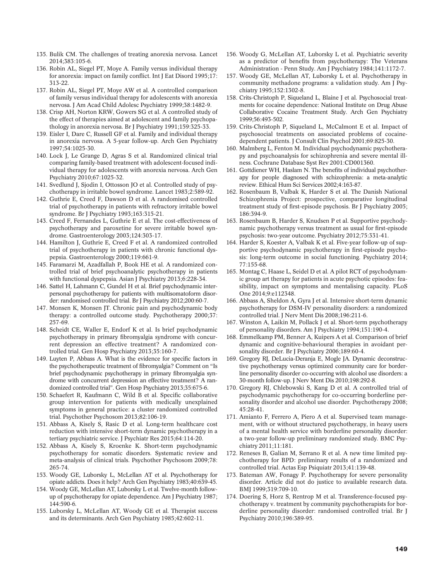- 135. Bulik CM. The challenges of treating anorexia nervosa. Lancet 2014;383:105-6.
- 136. Robin AL, Siegel PT, Moye A. Family versus individual therapy for anorexia: impact on family conflict. Int J Eat Disord 1995;17: 313-22.
- 137. Robin AL, Siegel PT, Moye AW et al. A controlled comparison of family versus individual therapy for adolescents with anorexia nervosa. J Am Acad Child Adolesc Psychiatry 1999;38:1482-9.
- 138. Crisp AH, Norton KRW, Gowers SG et al. A controlled study of the effect of therapies aimed at adolescent and family psychopathology in anorexia nervosa. Br J Psychiatry 1991;159:325-33.
- 139. Eisler I, Dare C, Russell GF et al. Family and individual therapy in anorexia nervosa. A 5-year follow-up. Arch Gen Psychiatry 1997;54:1025-30.
- 140. Lock J, Le Grange D, Agras S et al. Randomized clinical trial comparing family-based treatment with adolescent-focused individual therapy for adolescents with anorexia nervosa. Arch Gen Psychiatry 2010;67:1025-32.
- 141. Svedlund J, Sjodin I, Ottosson JO et al. Controlled study of psychotherapy in irritable bowel syndrome. Lancet 1983;2:589-92.
- 142. Guthrie E, Creed F, Dawson D et al. A randomised controlled trial of psychotherapy in patients with refractory irritable bowel syndrome. Br J Psychiatry 1993;163:315-21.
- 143. Creed F, Fernandes L, Guthrie E et al. The cost-effectiveness of psychotherapy and paroxetine for severe irritable bowel syndrome. Gastroenterology 2003;124:303-17.
- 144. Hamilton J, Guthrie E, Creed F et al. A randomized controlled trial of psychotherapy in patients with chronic functional dyspepsia. Gastroenterology 2000;119:661-9.
- 145. Faramarzi M, Azadfallah P, Book HE et al. A randomized controlled trial of brief psychoanalytic psychotherapy in patients with functional dyspepsia. Asian J Psychiatry 2013;6:228-34.
- 146. Sattel H, Lahmann C, Gundel H et al. Brief psychodynamic interpersonal psychotherapy for patients with multisomatoform disorder: randomised controlled trial. Br J Psychiatry 2012;200:60-7.
- 147. Monsen K, Monsen JT. Chronic pain and psychodynamic body therapy: a controlled outcome study. Psychotherapy 2000;37: 257-69.
- 148. Scheidt CE, Waller E, Endorf K et al. Is brief psychodynamic psychotherapy in primary fibromyalgia syndrome with concurrent depression an effective treatment? A randomized controlled trial. Gen Hosp Psychiatry 2013;35:160-7.
- 149. Luyten P, Abbass A. What is the evidence for specific factors in the psychotherapeutic treatment of fibromyalgia? Comment on "Is brief psychodynamic psychotherapy in primary fibromyalgia syndrome with concurrent depression an effective treatment? A randomized controlled trial". Gen Hosp Psychiatry 2013;35:675-6.
- 150. Schaefert R, Kaufmann C, Wild B et al. Specific collaborative group intervention for patients with medically unexplained symptoms in general practice: a cluster randomized controlled trial. Psychother Psychosom 2013;82:106-19.
- 151. Abbass A, Kisely S, Rasic D et al. Long-term healthcare cost reduction with intensive short-term dynamic psychotherapy in a tertiary psychiatric service. J Psychiatr Res 2015;64:114-20.
- 152. Abbass A, Kisely S, Kroenke K. Short-term psychodynamic psychotherapy for somatic disorders. Systematic review and meta-analysis of clinical trials. Psychother Psychosom 2009;78: 265-74.
- 153. Woody GE, Luborsky L, McLellan AT et al. Psychotherapy for opiate addicts. Does it help? Arch Gen Psychiatry 1983;40:639-45.
- 154. Woody GE, McLellan AT, Luborsky L et al. Twelve-month followup of psychotherapy for opiate dependence. Am J Psychiatry 1987; 144:590-6.
- 155. Luborsky L, McLellan AT, Woody GE et al. Therapist success and its determinants. Arch Gen Psychiatry 1985;42:602-11.
- 156. Woody G, McLellan AT, Luborsky L et al. Psychiatric severity as a predictor of benefits from psychotherapy: The Veterans Administration - Penn Study. Am J Psychiatry 1984;141:1172-7.
- 157. Woody GE, McLellan AT, Luborsky L et al. Psychotherapy in community methadone programs: a validation study. Am J Psychiatry 1995;152:1302-8.
- 158. Crits-Christoph P, Siqueland L, Blaine J et al. Psychosocial treatments for cocaine dependence: National Institute on Drug Abuse Collaborative Cocaine Treatment Study. Arch Gen Psychiatry 1999;56:493-502.
- 159. Crits-Christoph P, Siqueland L, McCalmont E et al. Impact of psychosocial treatments on associated problems of cocainedependent patients. J Consult Clin Psychol 2001;69:825-30.
- 160. Malmberg L, Fenton M. Individual psychodynamic psychotherapy and psychoanalysis for schizophrenia and severe mental illness. Cochrane Database Syst Rev 2001:CD001360.
- 161. Gottdiener WH, Haslam N. The benefits of individual psychotherapy for people diagnosed with schizophrenia: a meta-analytic review. Ethical Hum Sci Services 2002;4:163-87.
- 162. Rosenbaum B, Valbak K, Harder S et al. The Danish National Schizophrenia Project: prospective, comparative longitudinal treatment study of first-episode psychosis. Br J Psychiatry 2005; 186:394-9.
- 163. Rosenbaum B, Harder S, Knudsen P et al. Supportive psychodynamic psychotherapy versus treatment as usual for first-episode psychosis: two-year outcome. Psychiatry 2012;75:331-41.
- 164. Harder S, Koester A, Valbak K et al. Five-year follow-up of supportive psychodynamic psychotherapy in first-episode psychosis: long-term outcome in social functioning. Psychiatry 2014; 77:155-68.
- 165. Montag C, Haase L, Seidel D et al. A pilot RCT of psychodynamic group art therapy for patients in acute psychotic episodes: feasibility, impact on symptoms and mentalising capacity. PLoS One 2014;9:e112348.
- 166. Abbass A, Sheldon A, Gyra J et al. Intensive short-term dynamic psychotherapy for DSM-IV personality disorders: a randomized controlled trial. J Nerv Ment Dis 2008;196:211-6.
- 167. Winston A, Laikin M, Pollack J et al. Short-term psychotherapy of personality disorders. Am J Psychiatry 1994;151:190-4.
- 168. Emmelkamp PM, Benner A, Kuipers A et al. Comparison of brief dynamic and cognitive-behavioural therapies in avoidant personality disorder. Br J Psychiatry 2006;189:60-4.
- 169. Gregory RJ, DeLucia-Deranja E, Mogle JA. Dynamic deconstructive psychotherapy versus optimized community care for borderline personality disorder co-occurring with alcohol use disorders: a 30-month follow-up. J Nerv Ment Dis 2010;198:292-8.
- 170. Gregory RJ, Chlebowski S, Kang D et al. A controlled trial of psychodynamic psychotherapy for co-occurring borderline personality disorder and alcohol use disorder. Psychotherapy 2008; 45:28-41.
- 171. Amianto F, Ferrero A, Piero A et al. Supervised team management, with or without structured psychotherapy, in heavy users of a mental health service with borderline personality disorder: a two-year follow-up preliminary randomized study. BMC Psychiatry 2011;11:181.
- 172. Reneses B, Galian M, Serrano R et al. A new time limited psychotherapy for BPD: preliminary results of a randomized and controlled trial. Actas Esp Psiquiatr 2013;41:139-48.
- 173. Bateman AW, Fonagy P. Psychotherapy for severe personality disorder. Article did not do justice to available research data. BMJ 1999;319:709-10.
- 174. Doering S, Horz S, Rentrop M et al. Transference-focused psychotherapy v. treatment by community psychotherapists for borderline personality disorder: randomised controlled trial. Br J Psychiatry 2010;196:389-95.